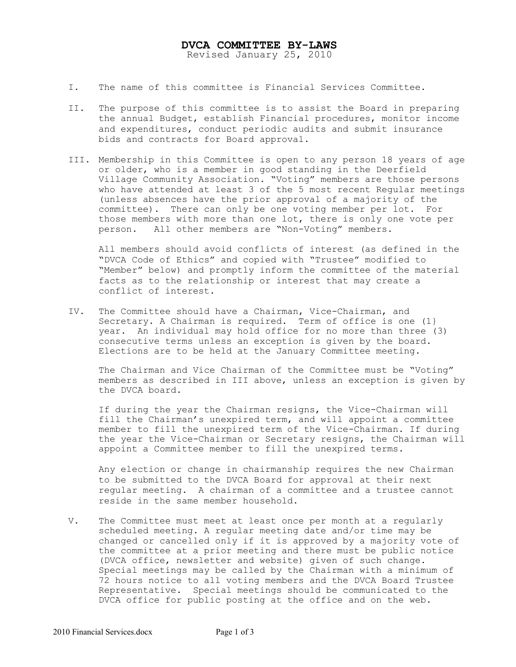## DVCA COMMITTEE BY-LAWS

Revised January 25, 2010

- I. The name of this committee is Financial Services Committee.
- II. The purpose of this committee is to assist the Board in preparing the annual Budget, establish Financial procedures, monitor income and expenditures, conduct periodic audits and submit insurance bids and contracts for Board approval.
- III. Membership in this Committee is open to any person 18 years of age or older, who is a member in good standing in the Deerfield Village Community Association. "Voting" members are those persons who have attended at least 3 of the 5 most recent Regular meetings (unless absences have the prior approval of a majority of the committee). There can only be one voting member per lot. For those members with more than one lot, there is only one vote per person. All other members are "Non-Voting" members.

All members should avoid conflicts of interest (as defined in the "DVCA Code of Ethics" and copied with "Trustee" modified to "Member" below) and promptly inform the committee of the material facts as to the relationship or interest that may create a conflict of interest.

IV. The Committee should have a Chairman, Vice-Chairman, and Secretary. A Chairman is required. Term of office is one (1} year. An individual may hold office for no more than three (3) consecutive terms unless an exception is given by the board. Elections are to be held at the January Committee meeting.

The Chairman and Vice Chairman of the Committee must be "Voting" members as described in III above, unless an exception is given by the DVCA board.

If during the year the Chairman resigns, the Vice-Chairman will fill the Chairman's unexpired term, and will appoint a committee member to fill the unexpired term of the Vice-Chairman. If during the year the Vice-Chairman or Secretary resigns, the Chairman will appoint a Committee member to fill the unexpired terms.

Any election or change in chairmanship requires the new Chairman to be submitted to the DVCA Board for approval at their next regular meeting. A chairman of a committee and a trustee cannot reside in the same member household.

V. The Committee must meet at least once per month at a regularly scheduled meeting. A regular meeting date and/or time may be changed or cancelled only if it is approved by a majority vote of the committee at a prior meeting and there must be public notice (DVCA office, newsletter and website) given of such change. Special meetings may be called by the Chairman with a minimum of 72 hours notice to all voting members and the DVCA Board Trustee Representative. Special meetings should be communicated to the DVCA office for public posting at the office and on the web.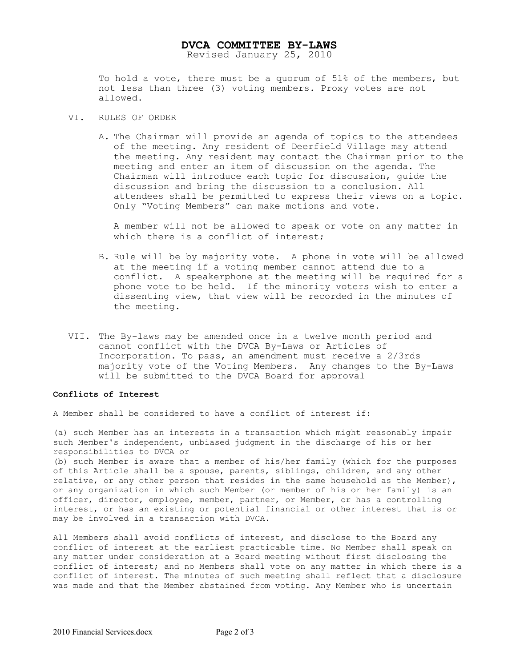## DVCA COMMITTEE BY-LAWS

Revised January 25, 2010

To hold a vote, there must be a quorum of 51% of the members, but not less than three (3) voting members. Proxy votes are not allowed.

- VI. RULES OF ORDER
	- A. The Chairman will provide an agenda of topics to the attendees of the meeting. Any resident of Deerfield Village may attend the meeting. Any resident may contact the Chairman prior to the meeting and enter an item of discussion on the agenda. The Chairman will introduce each topic for discussion, guide the discussion and bring the discussion to a conclusion. All attendees shall be permitted to express their views on a topic. Only "Voting Members" can make motions and vote.

A member will not be allowed to speak or vote on any matter in which there is a conflict of interest;

- B. Rule will be by majority vote. A phone in vote will be allowed at the meeting if a voting member cannot attend due to a conflict. A speakerphone at the meeting will be required for a phone vote to be held. If the minority voters wish to enter a dissenting view, that view will be recorded in the minutes of the meeting.
- VII. The By-laws may be amended once in a twelve month period and cannot conflict with the DVCA By-Laws or Articles of Incorporation. To pass, an amendment must receive a 2/3rds majority vote of the Voting Members. Any changes to the By-Laws will be submitted to the DVCA Board for approval

## Conflicts of Interest

A Member shall be considered to have a conflict of interest if:

(a) such Member has an interests in a transaction which might reasonably impair such Member's independent, unbiased judgment in the discharge of his or her responsibilities to DVCA or

(b) such Member is aware that a member of his/her family (which for the purposes of this Article shall be a spouse, parents, siblings, children, and any other relative, or any other person that resides in the same household as the Member), or any organization in which such Member (or member of his or her family) is an officer, director, employee, member, partner, or Member, or has a controlling interest, or has an existing or potential financial or other interest that is or may be involved in a transaction with DVCA.

All Members shall avoid conflicts of interest, and disclose to the Board any conflict of interest at the earliest practicable time. No Member shall speak on any matter under consideration at a Board meeting without first disclosing the conflict of interest; and no Members shall vote on any matter in which there is a conflict of interest. The minutes of such meeting shall reflect that a disclosure was made and that the Member abstained from voting. Any Member who is uncertain